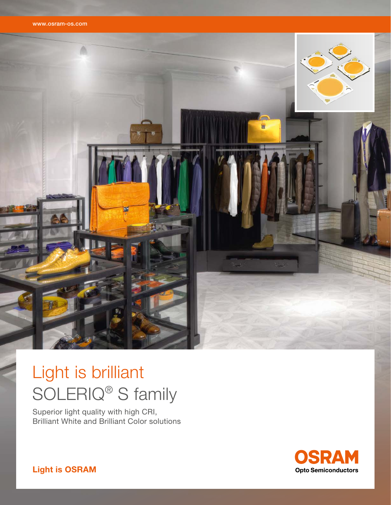



# Light is brilliant SOLERIQ® S family

Superior light quality with high CRI, Brilliant White and Brilliant Color solutions



Light is OSRAM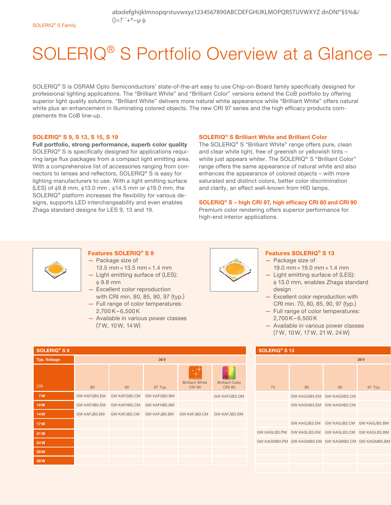abxdefghijklmnopqrstuvwxyz1234567890ABCDEFGHIJKLMOPQRSTUVWXYZ dnDN!"§\$%&/  $() = ?$   $' + * \sim \mu \phi$ 

# SOLERIQ<sup>®</sup> S Portfolio Overview at a Glance -

SOLERIQ® S is OSRAM Opto Semiconductors' state-of-the-art easy to use Chip-on-Board family specifically designed for professional lighting applications. The "Brilliant White" and "Brilliant Color" versions extend the CoB portfolio by offering superior light quality solutions. "Brilliant White" delivers more natural white appearance while "Brilliant White" offers natural white plus an enhancement in illuminating colored objects. The new CRI 97 series and the high efficacy products complements the CoB line-up.

### SOLERIQ® S 9, S 13, S 15, S 19

Full portfolio, strong performance, superb color quality SOLERIQ® S is specifically designed for applications requiring large flux packages from a compact light emitting area. With a comprehensive list of accessories ranging from connectors to lenses and reflectors, SOLERIQ® S is easy for lighting manufacturers to use. With a light emitting surface  $(LES)$  of  $\phi$ 9.8 mm,  $\phi$ 13.0 mm,  $\phi$ 14.5 mm or  $\phi$ 19.0 mm, the SOLERIQ® platform increases the flexibility for various designs, supports LED interchangeability and even enables Zhaga standard designs for LES 9, 13 and 19.

### SOLERIQ® S Brilliant White and Brilliant Color

The SOLERIQ® S "Brilliant White" range offers pure, clean and clear white light, free of greenish or yellowish tints – white just appears whiter. The SOLERIQ<sup>®</sup> S "Brilliant Color" range offers the same appearance of natural white and also enhances the appearance of colored objects – with more saturated and distinct colors, better color discrimination and clarity, an effect well-known from HID lamps.

### SOLERIQ® S – high CRI 97, high efficacy CRI 80 and CRI 90

Premium color rendering offers superior performance for high-end interior applications.



### Features SOLERIQ® S 9

- Package size of
- 13.5 mm × 13.5 mm × 1.4 mm — Light emitting surface of (LES):
- $\phi$  9.8 mm — Excellent color reproduction with CRI min. 80, 85, 90, 97 (typ.)
- Full range of color temperatures:  $2.700K - 6.500K$
- Available in various power classes (7 W, 10 W, 14 W)

| SOLERIQ <sup>®</sup> S 9 |              |                     |                     |                                         |                                         |
|--------------------------|--------------|---------------------|---------------------|-----------------------------------------|-----------------------------------------|
| <b>Typ. Voltage</b>      | 36V          |                     |                     |                                         |                                         |
| <b>CRI</b>               | 80           | 90                  | 97 Typ.             | <b>Brilliant White</b><br><b>CRI 90</b> | <b>Brilliant Color</b><br><b>CRI 85</b> |
| <b>7W</b>                | GW KAFGB5.EM | <b>GW KAFGB5.CM</b> | <b>GW KAFGB5.BM</b> |                                         | GW KAFGB3.DM                            |
| <b>10W</b>               | GW KAFHB5.EM | GW KAFHB5.CM        | <b>GW KAFHB5.BM</b> |                                         |                                         |
| <b>14W</b>               | GW KAFJB5.EM | <b>GW KAFJB5.CM</b> | GW KAFJB5.BM        | GW KAFJB3.CM                            | <b>GW KAFJB3.DM</b>                     |
| <b>17W</b>               |              |                     |                     |                                         |                                         |
| 21W                      |              |                     |                     |                                         |                                         |
| 24W                      |              |                     |                     |                                         |                                         |
| <b>28W</b>               |              |                     |                     |                                         |                                         |
| 38W                      |              |                     |                     |                                         |                                         |



### Features SOLERIQ® S 13

- Package size of 19.0 mm × 19.0 mm × 1.4 mm
- Light emitting surface of (LES):  $\phi$  13.0 mm, enables Zhaga standard design
- Excellent color reproduction with CRI min. 70, 80, 85, 90, 97 (typ.)
- Full range of color temperatures:  $2.700K - 6.500K$
- Available in various power classes (7 W, 10 W, 17 W, 21 W, 24 W)

### SOLERIQ® S 13

| 36V |    |                                                     |                                        |         |
|-----|----|-----------------------------------------------------|----------------------------------------|---------|
|     | 70 | 80                                                  | 90                                     | 97 Typ. |
|     |    |                                                     | GW KAGGB3.EM GW KAGGB3.CM              |         |
|     |    |                                                     | GW KAGHB3.EM GW KAGHB3.CM              |         |
|     |    |                                                     |                                        |         |
|     |    |                                                     | GW KAGJB3.EM GW KAGJB3.CM GW KAGJB5.BM |         |
|     |    | GW KAGLB3.PM GW KAGLB3.EM GW KAGLB3.CM GW KAGLB5.BM |                                        |         |
|     |    | GW KAGMB3.PM GW KAGMB3.EM GW KAGMB3.CM GW KAGMB5.BM |                                        |         |
|     |    |                                                     |                                        |         |
|     |    |                                                     |                                        |         |
|     |    |                                                     |                                        |         |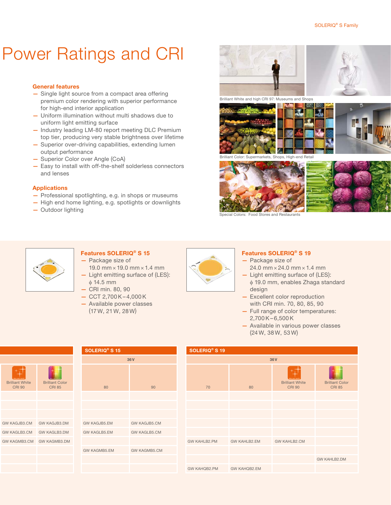## Power Ratings and CRI

### General features

- Single light source from a compact area offering premium color rendering with superior performance for high-end interior application
- Uniform illumination without multi shadows due to uniform light emitting surface
- Industry leading LM-80 report meeting DLC Premium top tier, producing very stable brightness over lifetime
- Superior over-driving capabilities, extending lumen output performance
- Superior Color over Angle (CoA)
- Easy to install with off-the-shelf solderless connectors and lenses

### Applications

- Professional spotlighting, e.g. in shops or museums
- High end home lighting, e.g. spotlights or downlights
- Outdoor lighting







Brilliant Color: Supermarkets, Shops, High-end Retail





Special Colors: Food Stores and Restaurants



## Features SOLERIQ® S 15

- Package size of
- 19.0 mm × 19.0 mm × 1.4 mm — Light emitting surface of (LES):  $\phi$  14.5 mm
- CRI min. 80, 90
- CCT 2,700K– 4,000K
- Available power classes
- (17 W, 21 W, 28 W)



### Features SOLERIQ® S 19

- Package size of 24.0 mm × 24.0 mm × 1.4 mm
- Light emitting surface of (LES):  $\phi$  19.0 mm, enables Zhaga standard design
- Excellent color reproduction with CRI min. 70, 80, 85, 90
- Full range of color temperatures:  $2.700K - 6.500K$
- Available in various power classes (24 W, 38 W, 53 W)

| <b>Brilliant White</b><br><b>CRI 90</b> | <b>Brilliant Color</b><br><b>CRI 85</b> |
|-----------------------------------------|-----------------------------------------|
|                                         |                                         |
|                                         |                                         |
|                                         |                                         |
| GW KAGJB3.CM                            | GW KAGJB3.DM                            |
| GW KAGLB3.CM                            | GW KAGLB3.DM                            |
| GW KAGMB3.CM                            | GW KAGMB3.DM                            |
|                                         |                                         |
|                                         |                                         |
|                                         |                                         |

| <b>SOLERIQ<sup>®</sup> S 15</b> |                     |  |  |  |
|---------------------------------|---------------------|--|--|--|
|                                 | 36V                 |  |  |  |
| 80                              | 90                  |  |  |  |
|                                 |                     |  |  |  |
|                                 |                     |  |  |  |
|                                 |                     |  |  |  |
| <b>GW KAGJB5.EM</b>             | <b>GW KAGJB5.CM</b> |  |  |  |
| <b>GW KAGLB5.EM</b>             | <b>GW KAGLB5.CM</b> |  |  |  |
|                                 |                     |  |  |  |
| <b>GW KAGMB5.EM</b>             | <b>GW KAGMB5.CM</b> |  |  |  |
|                                 |                     |  |  |  |
|                                 |                     |  |  |  |

| SOLERIQ <sup>®</sup> S 19 |              |                                         |                                         |  |  |  |
|---------------------------|--------------|-----------------------------------------|-----------------------------------------|--|--|--|
| 36 V                      |              |                                         |                                         |  |  |  |
| 70                        | 80           | <b>Brilliant White</b><br><b>CRI 90</b> | <b>Brilliant Color</b><br><b>CRI 85</b> |  |  |  |
|                           |              |                                         |                                         |  |  |  |
|                           |              |                                         |                                         |  |  |  |
|                           |              |                                         |                                         |  |  |  |
|                           |              |                                         |                                         |  |  |  |
|                           |              |                                         |                                         |  |  |  |
| GW KAHLB2.PM              | GW KAHLB2.EM | <b>GW KAHLB2.CM</b>                     |                                         |  |  |  |
|                           |              |                                         |                                         |  |  |  |
|                           |              |                                         | GW KAHLB2.DM                            |  |  |  |
| GW KAHQB2.PM              | GW KAHQB2.EM |                                         |                                         |  |  |  |
|                           |              |                                         |                                         |  |  |  |